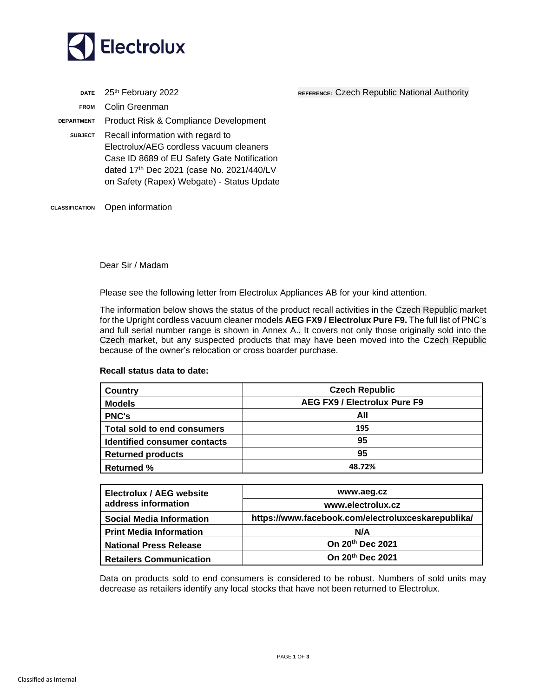

**DATE** 25<sup>th</sup> February 2022 **REFERENCE:** Czech Republic National Authority **FROM** Colin Greenman **DEPARTMENT** Product Risk & Compliance Development **SUBJECT** Recall information with regard to Electrolux/AEG cordless vacuum cleaners Case ID 8689 of EU Safety Gate Notification dated 17th Dec 2021 (case No. 2021/440/LV

on Safety (Rapex) Webgate) - Status Update

**CLASSIFICATION** Open information

Dear Sir / Madam

Please see the following letter from Electrolux Appliances AB for your kind attention.

The information below shows the status of the product recall activities in the Czech Republic market for the Upright cordless vacuum cleaner models **AEG FX9 / Electrolux Pure F9.** The full list of PNC's and full serial number range is shown in Annex A.. It covers not only those originally sold into the Czech market, but any suspected products that may have been moved into the Czech Republic because of the owner's relocation or cross boarder purchase.

## **Recall status data to date:**

| <b>Country</b>                      | <b>Czech Republic</b>        |  |  |
|-------------------------------------|------------------------------|--|--|
| <b>Models</b>                       | AEG FX9 / Electrolux Pure F9 |  |  |
| <b>PNC's</b>                        | All                          |  |  |
| <b>Total sold to end consumers</b>  | 195                          |  |  |
| <b>Identified consumer contacts</b> | 95                           |  |  |
| <b>Returned products</b>            | 95                           |  |  |
| <b>Returned %</b>                   | 48.72%                       |  |  |

| Electrolux / AEG website<br>address information | www.aeg.cz                                         |  |
|-------------------------------------------------|----------------------------------------------------|--|
|                                                 | www.electrolux.cz                                  |  |
| <b>Social Media Information</b>                 | https://www.facebook.com/electroluxceskarepublika/ |  |
| <b>Print Media Information</b>                  | N/A                                                |  |
| <b>National Press Release</b>                   | On 20th Dec 2021                                   |  |
| <b>Retailers Communication</b>                  | On 20 <sup>th</sup> Dec 2021                       |  |

Data on products sold to end consumers is considered to be robust. Numbers of sold units may decrease as retailers identify any local stocks that have not been returned to Electrolux.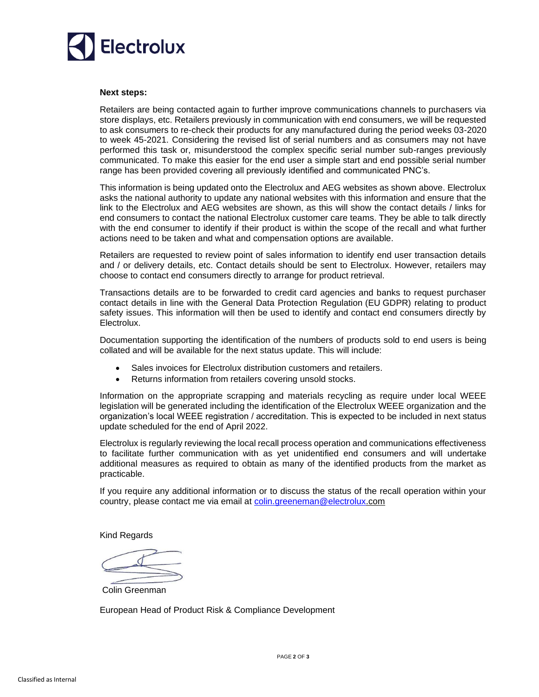

## **Next steps:**

Retailers are being contacted again to further improve communications channels to purchasers via store displays, etc. Retailers previously in communication with end consumers, we will be requested to ask consumers to re-check their products for any manufactured during the period weeks 03-2020 to week 45-2021. Considering the revised list of serial numbers and as consumers may not have performed this task or, misunderstood the complex specific serial number sub-ranges previously communicated. To make this easier for the end user a simple start and end possible serial number range has been provided covering all previously identified and communicated PNC's.

This information is being updated onto the Electrolux and AEG websites as shown above. Electrolux asks the national authority to update any national websites with this information and ensure that the link to the Electrolux and AEG websites are shown, as this will show the contact details / links for end consumers to contact the national Electrolux customer care teams. They be able to talk directly with the end consumer to identify if their product is within the scope of the recall and what further actions need to be taken and what and compensation options are available.

Retailers are requested to review point of sales information to identify end user transaction details and / or delivery details, etc. Contact details should be sent to Electrolux. However, retailers may choose to contact end consumers directly to arrange for product retrieval.

Transactions details are to be forwarded to credit card agencies and banks to request purchaser contact details in line with the General Data Protection Regulation (EU GDPR) relating to product safety issues. This information will then be used to identify and contact end consumers directly by Electrolux.

Documentation supporting the identification of the numbers of products sold to end users is being collated and will be available for the next status update. This will include:

- Sales invoices for Electrolux distribution customers and retailers.
- Returns information from retailers covering unsold stocks.

Information on the appropriate scrapping and materials recycling as require under local WEEE legislation will be generated including the identification of the Electrolux WEEE organization and the organization's local WEEE registration / accreditation. This is expected to be included in next status update scheduled for the end of April 2022.

Electrolux is regularly reviewing the local recall process operation and communications effectiveness to facilitate further communication with as yet unidentified end consumers and will undertake additional measures as required to obtain as many of the identified products from the market as practicable.

If you require any additional information or to discuss the status of the recall operation within your country, please contact me via email at [colin.greeneman@electrolux.](mailto:colin.greeneman@electrolux)com

Kind Regards

Colin Greenman

European Head of Product Risk & Compliance Development